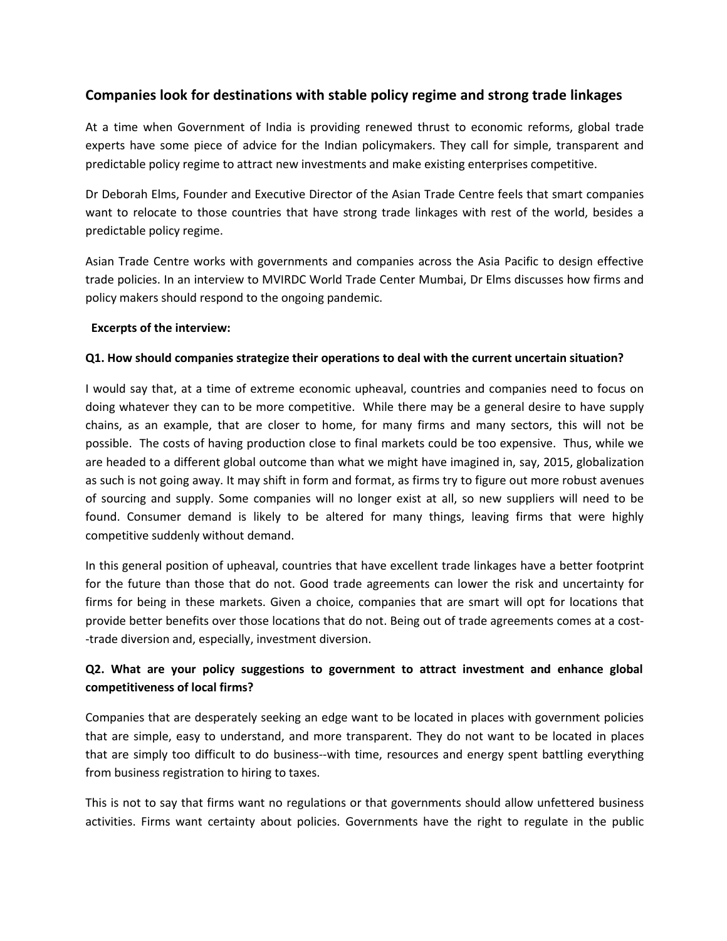# **Companies look for destinations with stable policy regime and strong trade linkages**

At a time when Government of India is providing renewed thrust to economic reforms, global trade experts have some piece of advice for the Indian policymakers. They call for simple, transparent and predictable policy regime to attract new investments and make existing enterprises competitive.

Dr Deborah Elms, Founder and Executive Director of the Asian Trade Centre feels that smart companies want to relocate to those countries that have strong trade linkages with rest of the world, besides a predictable policy regime.

Asian Trade Centre works with governments and companies across the Asia Pacific to design effective trade policies. In an interview to MVIRDC World Trade Center Mumbai, Dr Elms discusses how firms and policy makers should respond to the ongoing pandemic.

### **Excerpts of the interview:**

### **Q1. How should companies strategize their operations to deal with the current uncertain situation?**

I would say that, at a time of extreme economic upheaval, countries and companies need to focus on doing whatever they can to be more competitive. While there may be a general desire to have supply chains, as an example, that are closer to home, for many firms and many sectors, this will not be possible. The costs of having production close to final markets could be too expensive. Thus, while we are headed to a different global outcome than what we might have imagined in, say, 2015, globalization as such is not going away. It may shift in form and format, as firms try to figure out more robust avenues of sourcing and supply. Some companies will no longer exist at all, so new suppliers will need to be found. Consumer demand is likely to be altered for many things, leaving firms that were highly competitive suddenly without demand.

In this general position of upheaval, countries that have excellent trade linkages have a better footprint for the future than those that do not. Good trade agreements can lower the risk and uncertainty for firms for being in these markets. Given a choice, companies that are smart will opt for locations that provide better benefits over those locations that do not. Being out of trade agreements comes at a cost--trade diversion and, especially, investment diversion.

# **Q2. What are your policy suggestions to government to attract investment and enhance global competitiveness of local firms?**

Companies that are desperately seeking an edge want to be located in places with government policies that are simple, easy to understand, and more transparent. They do not want to be located in places that are simply too difficult to do business--with time, resources and energy spent battling everything from business registration to hiring to taxes.

This is not to say that firms want no regulations or that governments should allow unfettered business activities. Firms want certainty about policies. Governments have the right to regulate in the public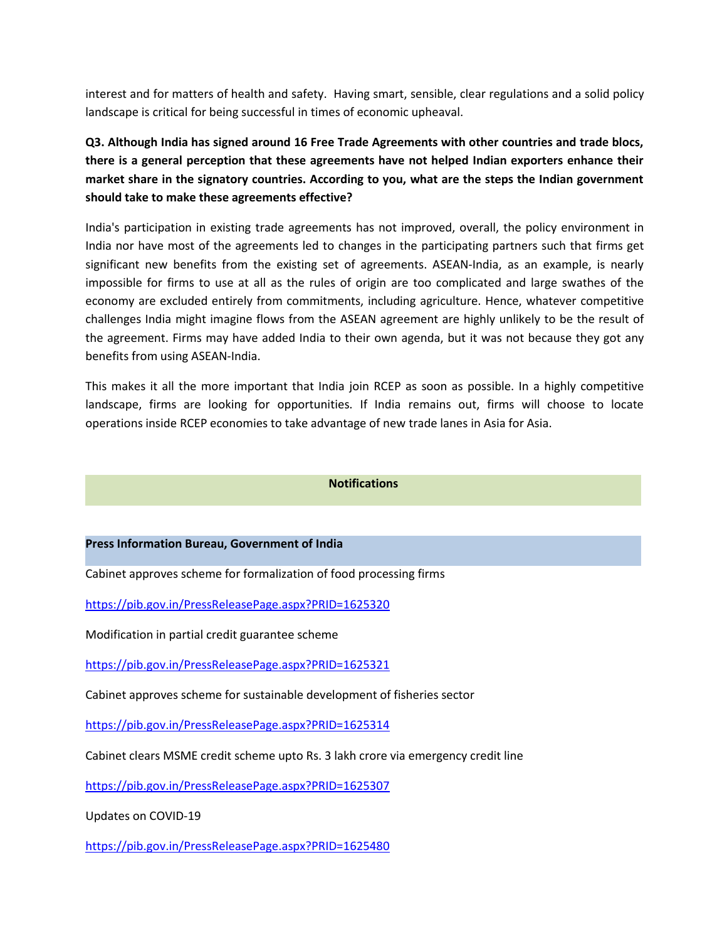interest and for matters of health and safety. Having smart, sensible, clear regulations and a solid policy landscape is critical for being successful in times of economic upheaval.

**Q3. Although India has signed around 16 Free Trade Agreements with other countries and trade blocs, there is a general perception that these agreements have not helped Indian exporters enhance their market share in the signatory countries. According to you, what are the steps the Indian government should take to make these agreements effective?**

India's participation in existing trade agreements has not improved, overall, the policy environment in India nor have most of the agreements led to changes in the participating partners such that firms get significant new benefits from the existing set of agreements. ASEAN-India, as an example, is nearly impossible for firms to use at all as the rules of origin are too complicated and large swathes of the economy are excluded entirely from commitments, including agriculture. Hence, whatever competitive challenges India might imagine flows from the ASEAN agreement are highly unlikely to be the result of the agreement. Firms may have added India to their own agenda, but it was not because they got any benefits from using ASEAN-India.

This makes it all the more important that India join RCEP as soon as possible. In a highly competitive landscape, firms are looking for opportunities. If India remains out, firms will choose to locate operations inside RCEP economies to take advantage of new trade lanes in Asia for Asia.

#### **Notifications**

#### **Press Information Bureau, Government of India**

Cabinet approves scheme for formalization of food processing firms

<https://pib.gov.in/PressReleasePage.aspx?PRID=1625320>

Modification in partial credit guarantee scheme

<https://pib.gov.in/PressReleasePage.aspx?PRID=1625321>

Cabinet approves scheme for sustainable development of fisheries sector

<https://pib.gov.in/PressReleasePage.aspx?PRID=1625314>

Cabinet clears MSME credit scheme upto Rs. 3 lakh crore via emergency credit line

<https://pib.gov.in/PressReleasePage.aspx?PRID=1625307>

Updates on COVID-19

<https://pib.gov.in/PressReleasePage.aspx?PRID=1625480>